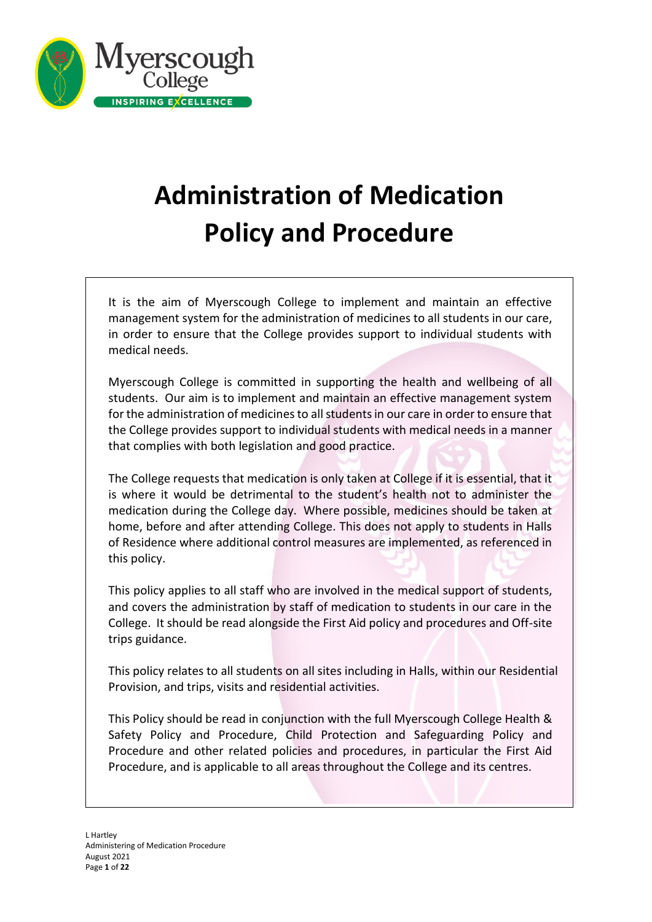

# **Administration of Medication Policy and Procedure**

It is the aim of Myerscough College to implement and maintain an effective management system for the administration of medicines to all students in our care, in order to ensure that the College provides support to individual students with medical needs.

Myerscough College is committed in supporting the health and wellbeing of all students. Our aim is to implement and maintain an effective management system for the administration of medicines to all students in our care in order to ensure that the College provides support to individual students with medical needs in a manner that complies with both legislation and good practice.

The College requests that medication is only taken at College if it is essential, that it is where it would be detrimental to the student's health not to administer the medication during the College day. Where possible, medicines should be taken at home, before and after attending College. This does not apply to students in Halls of Residence where additional control measures are implemented, as referenced in this policy.

This policy applies to all staff who are involved in the medical support of students, and covers the administration by staff of medication to students in our care in the College. It should be read alongside the First Aid policy and procedures and Off-site trips guidance.

This policy relates to all students on all sites including in Halls, within our Residential Provision, and trips, visits and residential activities.

This Policy should be read in conjunction with the full Myerscough College Health & Safety Policy and Procedure, Child Protection and Safeguarding Policy and Procedure and other related policies and procedures, in particular the First Aid Procedure, and is applicable to all areas throughout the College and its centres.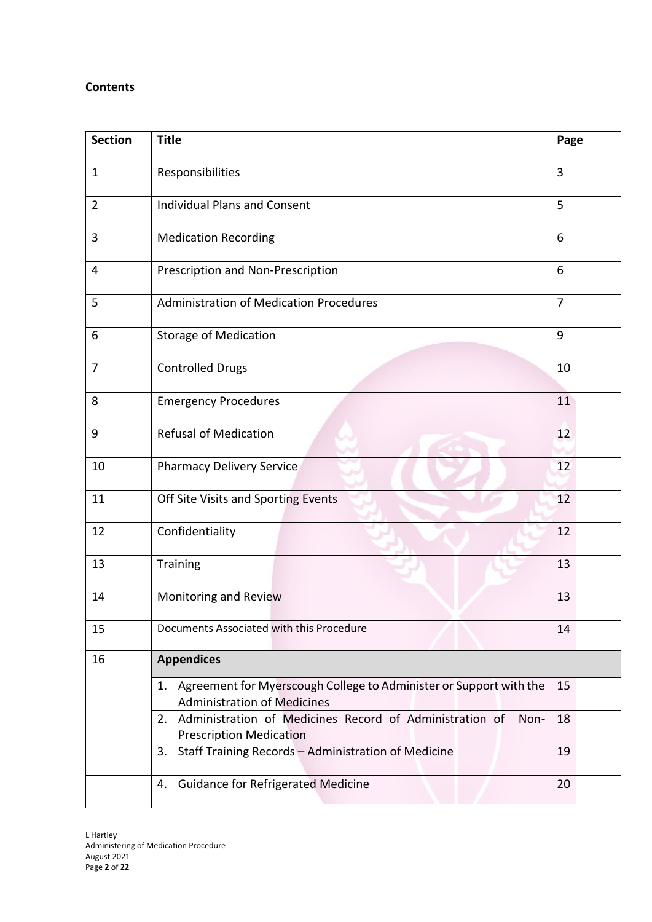# **Contents**

| <b>Section</b> | <b>Title</b>                                                                                                                                                                                                              |                |  |  |
|----------------|---------------------------------------------------------------------------------------------------------------------------------------------------------------------------------------------------------------------------|----------------|--|--|
| $\mathbf{1}$   | Responsibilities                                                                                                                                                                                                          |                |  |  |
| $\overline{2}$ | <b>Individual Plans and Consent</b>                                                                                                                                                                                       | 5              |  |  |
| 3              | <b>Medication Recording</b>                                                                                                                                                                                               | 6              |  |  |
| 4              | Prescription and Non-Prescription                                                                                                                                                                                         | 6              |  |  |
| 5              | <b>Administration of Medication Procedures</b>                                                                                                                                                                            | $\overline{7}$ |  |  |
| 6              | <b>Storage of Medication</b>                                                                                                                                                                                              | 9              |  |  |
| $\overline{7}$ | <b>Controlled Drugs</b>                                                                                                                                                                                                   | 10             |  |  |
| 8              | <b>Emergency Procedures</b>                                                                                                                                                                                               |                |  |  |
| 9              | <b>Refusal of Medication</b>                                                                                                                                                                                              |                |  |  |
| 10             | <b>Pharmacy Delivery Service</b>                                                                                                                                                                                          |                |  |  |
| 11             | Off Site Visits and Sporting Events                                                                                                                                                                                       |                |  |  |
| 12             | Confidentiality                                                                                                                                                                                                           | 12             |  |  |
| 13             | <b>Training</b>                                                                                                                                                                                                           | 13             |  |  |
| 14             | Monitoring and Review                                                                                                                                                                                                     | 13             |  |  |
| 15             | Documents Associated with this Procedure                                                                                                                                                                                  |                |  |  |
| 16             | <b>Appendices</b>                                                                                                                                                                                                         |                |  |  |
|                | Agreement for Myerscough College to Administer or Support with the<br>1.<br><b>Administration of Medicines</b><br>Administration of Medicines Record of Administration of<br>2.<br>Non-<br><b>Prescription Medication</b> |                |  |  |
|                |                                                                                                                                                                                                                           |                |  |  |
|                | Staff Training Records - Administration of Medicine<br>3.                                                                                                                                                                 | 19             |  |  |
|                | <b>Guidance for Refrigerated Medicine</b><br>4.                                                                                                                                                                           | 20             |  |  |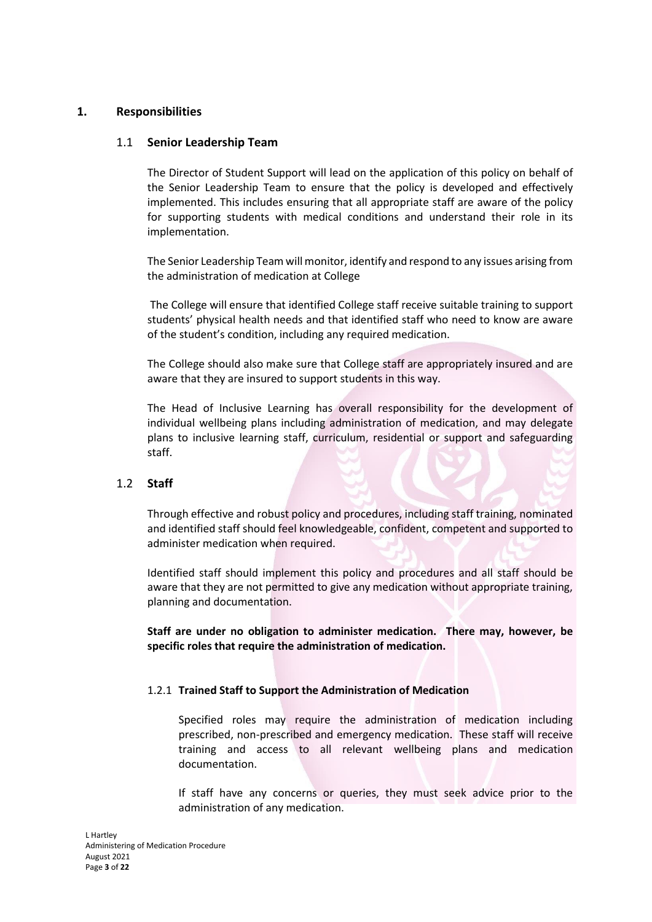# **1. Responsibilities**

# 1.1 **Senior Leadership Team**

The Director of Student Support will lead on the application of this policy on behalf of the Senior Leadership Team to ensure that the policy is developed and effectively implemented. This includes ensuring that all appropriate staff are aware of the policy for supporting students with medical conditions and understand their role in its implementation.

The Senior Leadership Team will monitor, identify and respond to any issues arising from the administration of medication at College

The College will ensure that identified College staff receive suitable training to support students' physical health needs and that identified staff who need to know are aware of the student's condition, including any required medication.

The College should also make sure that College staff are appropriately insured and are aware that they are insured to support students in this way.

The Head of Inclusive Learning has overall responsibility for the development of individual wellbeing plans including administration of medication, and may delegate plans to inclusive learning staff, curriculum, residential or support and safeguarding staff.

#### 1.2 **Staff**

Through effective and robust policy and procedures, including staff training, nominated and identified staff should feel knowledgeable, confident, competent and supported to administer medication when required.

Identified staff should implement this policy and procedures and all staff should be aware that they are not permitted to give any medication without appropriate training, planning and documentation.

**Staff are under no obligation to administer medication. There may, however, be specific roles that require the administration of medication.**

#### 1.2.1 **Trained Staff to Support the Administration of Medication**

Specified roles may require the administration of medication including prescribed, non-prescribed and emergency medication. These staff will receive training and access to all relevant wellbeing plans and medication documentation.

If staff have any concerns or queries, they must seek advice prior to the administration of any medication.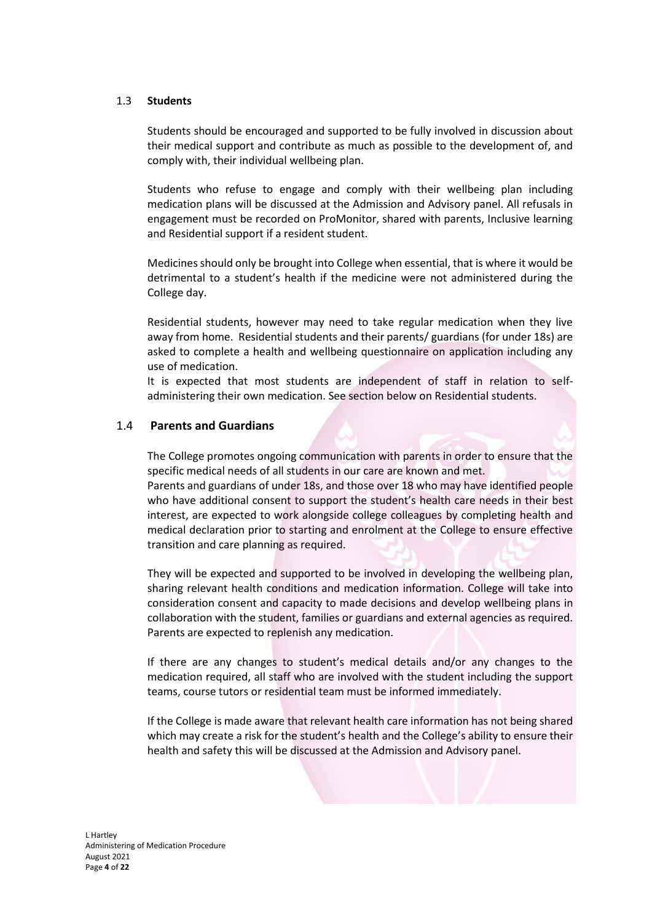#### 1.3 **Students**

Students should be encouraged and supported to be fully involved in discussion about their medical support and contribute as much as possible to the development of, and comply with, their individual wellbeing plan.

Students who refuse to engage and comply with their wellbeing plan including medication plans will be discussed at the Admission and Advisory panel. All refusals in engagement must be recorded on ProMonitor, shared with parents, Inclusive learning and Residential support if a resident student.

Medicines should only be brought into College when essential, that is where it would be detrimental to a student's health if the medicine were not administered during the College day.

Residential students, however may need to take regular medication when they live away from home. Residential students and their parents/ guardians (for under 18s) are asked to complete a health and wellbeing questionnaire on application including any use of medication.

It is expected that most students are independent of staff in relation to selfadministering their own medication. See section below on Residential students.

# 1.4 **Parents and Guardians**

The College promotes ongoing communication with parents in order to ensure that the specific medical needs of all students in our care are known and met.

Parents and guardians of under 18s, and those over 18 who may have identified people who have additional consent to support the student's health care needs in their best interest, are expected to work alongside college colleagues by completing health and medical declaration prior to starting and enrolment at the College to ensure effective transition and care planning as required.

They will be expected and supported to be involved in developing the wellbeing plan, sharing relevant health conditions and medication information. College will take into consideration consent and capacity to made decisions and develop wellbeing plans in collaboration with the student, families or guardians and external agencies as required. Parents are expected to replenish any medication.

If there are any changes to student's medical details and/or any changes to the medication required, all staff who are involved with the student including the support teams, course tutors or residential team must be informed immediately.

If the College is made aware that relevant health care information has not being shared which may create a risk for the student's health and the College's ability to ensure their health and safety this will be discussed at the Admission and Advisory panel.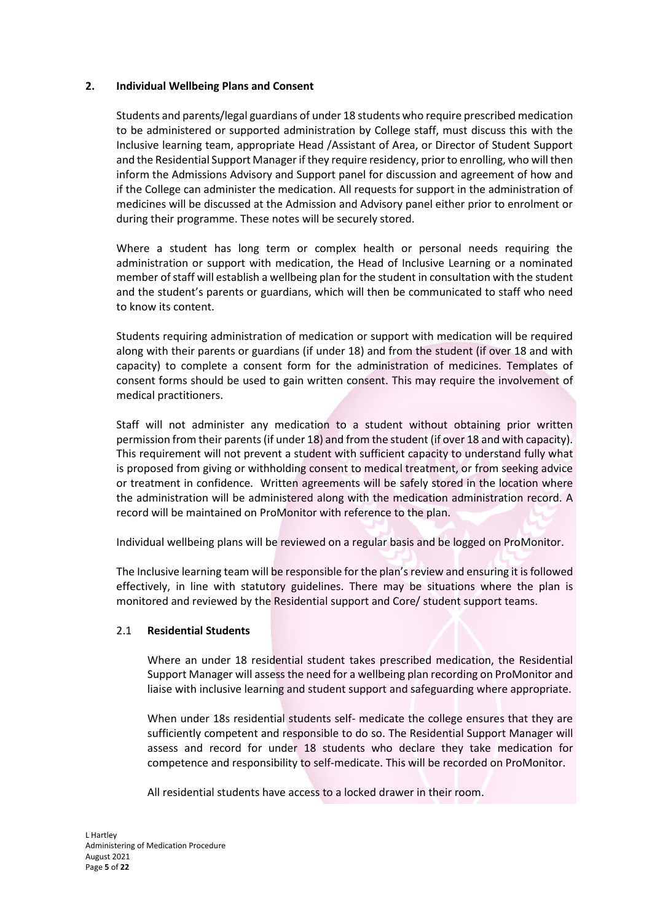# **2. Individual Wellbeing Plans and Consent**

Students and parents/legal guardians of under 18 students who require prescribed medication to be administered or supported administration by College staff, must discuss this with the Inclusive learning team, appropriate Head /Assistant of Area, or Director of Student Support and the Residential Support Manager if they require residency, prior to enrolling, who will then inform the Admissions Advisory and Support panel for discussion and agreement of how and if the College can administer the medication. All requests for support in the administration of medicines will be discussed at the Admission and Advisory panel either prior to enrolment or during their programme. These notes will be securely stored.

Where a student has long term or complex health or personal needs requiring the administration or support with medication, the Head of Inclusive Learning or a nominated member of staff will establish a wellbeing plan for the student in consultation with the student and the student's parents or guardians, which will then be communicated to staff who need to know its content.

Students requiring administration of medication or support with medication will be required along with their parents or guardians (if under 18) and from the student (if over 18 and with capacity) to complete a consent form for the administration of medicines. Templates of consent forms should be used to gain written consent. This may require the involvement of medical practitioners.

Staff will not administer any medication to a student without obtaining prior written permission from their parents (if under 18) and from the student (if over 18 and with capacity). This requirement will not prevent a student with sufficient capacity to understand fully what is proposed from giving or withholding consent to medical treatment, or from seeking advice or treatment in confidence. Written agreements will be safely stored in the location where the administration will be administered along with the medication administration record. A record will be maintained on ProMonitor with reference to the plan.

Individual wellbeing plans will be reviewed on a regular basis and be logged on ProMonitor.

The Inclusive learning team will be responsible for the plan's review and ensuring it is followed effectively, in line with statutory guidelines. There may be situations where the plan is monitored and reviewed by the Residential support and Core/ student support teams.

# 2.1 **Residential Students**

Where an under 18 residential student takes prescribed medication, the Residential Support Manager will assess the need for a wellbeing plan recording on ProMonitor and liaise with inclusive learning and student support and safeguarding where appropriate.

When under 18s residential students self- medicate the college ensures that they are sufficiently competent and responsible to do so. The Residential Support Manager will assess and record for under 18 students who declare they take medication for competence and responsibility to self-medicate. This will be recorded on ProMonitor.

All residential students have access to a locked drawer in their room.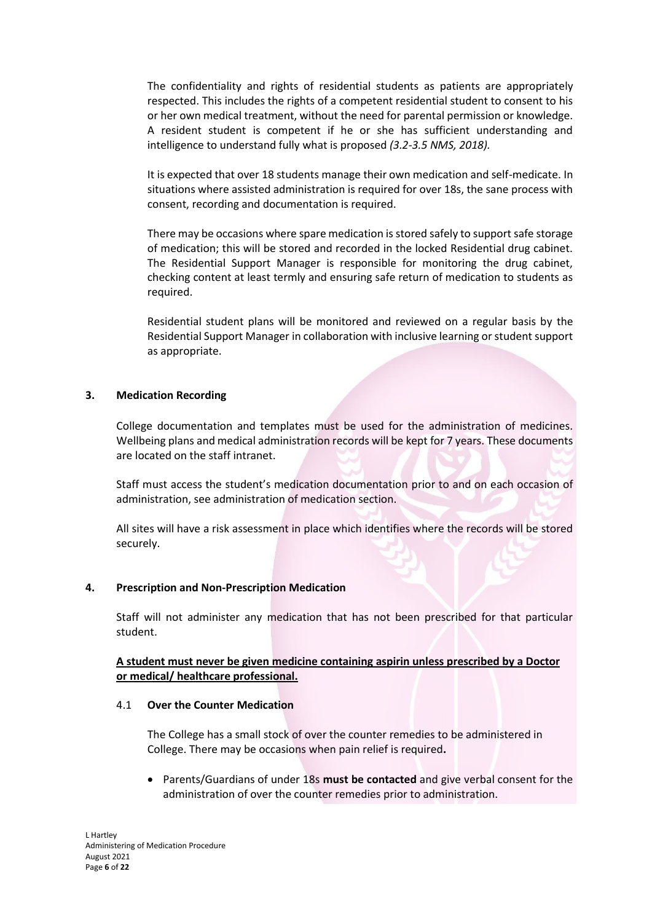The confidentiality and rights of residential students as patients are appropriately respected. This includes the rights of a competent residential student to consent to his or her own medical treatment, without the need for parental permission or knowledge. A resident student is competent if he or she has sufficient understanding and intelligence to understand fully what is proposed *(3.2-3.5 NMS, 2018).*

It is expected that over 18 students manage their own medication and self-medicate. In situations where assisted administration is required for over 18s, the sane process with consent, recording and documentation is required.

There may be occasions where spare medication is stored safely to support safe storage of medication; this will be stored and recorded in the locked Residential drug cabinet. The Residential Support Manager is responsible for monitoring the drug cabinet, checking content at least termly and ensuring safe return of medication to students as required.

Residential student plans will be monitored and reviewed on a regular basis by the Residential Support Manager in collaboration with inclusive learning or student support as appropriate.

#### **3. Medication Recording**

College documentation and templates must be used for the administration of medicines. Wellbeing plans and medical administration records will be kept for 7 years. These documents are located on the staff intranet.

Staff must access the student's medication documentation prior to and on each occasion of administration, see administration of medication section.

All sites will have a risk assessment in place which identifies where the records will be stored securely.

#### **4. Prescription and Non-Prescription Medication**

Staff will not administer any medication that has not been prescribed for that particular student.

**A student must never be given medicine containing aspirin unless prescribed by a Doctor or medical/ healthcare professional.**

#### 4.1 **Over the Counter Medication**

The College has a small stock of over the counter remedies to be administered in College. There may be occasions when pain relief is required**.** 

• Parents/Guardians of under 18s **must be contacted** and give verbal consent for the administration of over the counter remedies prior to administration.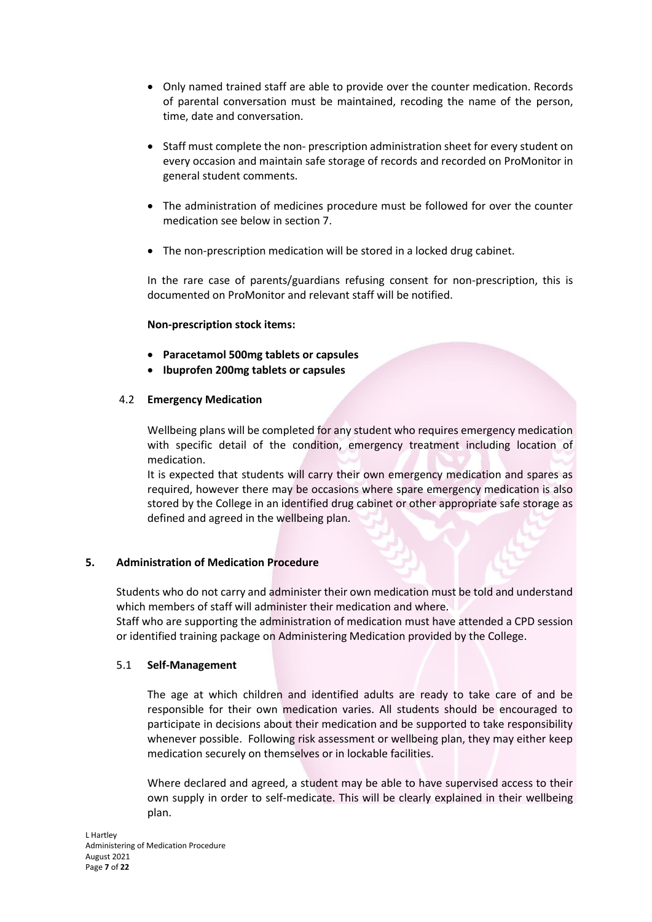- Only named trained staff are able to provide over the counter medication. Records of parental conversation must be maintained, recoding the name of the person, time, date and conversation.
- Staff must complete the non- prescription administration sheet for every student on every occasion and maintain safe storage of records and recorded on ProMonitor in general student comments.
- The administration of medicines procedure must be followed for over the counter medication see below in section 7.
- The non-prescription medication will be stored in a locked drug cabinet.

In the rare case of parents/guardians refusing consent for non-prescription, this is documented on ProMonitor and relevant staff will be notified.

# **Non-prescription stock items:**

- **Paracetamol 500mg tablets or capsules**
- **Ibuprofen 200mg tablets or capsules**

# 4.2 **Emergency Medication**

Wellbeing plans will be completed for any student who requires emergency medication with specific detail of the condition, emergency treatment including location of medication.

It is expected that students will carry their own emergency medication and spares as required, however there may be occasions where spare emergency medication is also stored by the College in an identified drug cabinet or other appropriate safe storage as defined and agreed in the wellbeing plan.

#### **5. Administration of Medication Procedure**

Students who do not carry and administer their own medication must be told and understand which members of staff will administer their medication and where.

Staff who are supporting the administration of medication must have attended a CPD session or identified training package on Administering Medication provided by the College.

#### 5.1 **Self-Management**

The age at which children and identified adults are ready to take care of and be responsible for their own medication varies. All students should be encouraged to participate in decisions about their medication and be supported to take responsibility whenever possible. Following risk assessment or wellbeing plan, they may either keep medication securely on themselves or in lockable facilities.

Where declared and agreed, a student may be able to have supervised access to their own supply in order to self-medicate. This will be clearly explained in their wellbeing plan.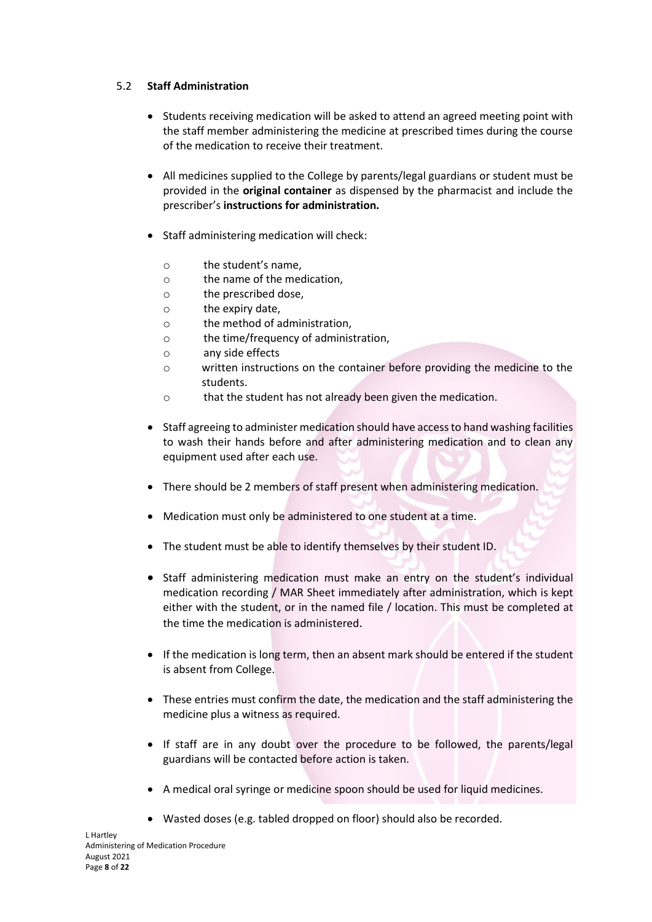# 5.2 **Staff Administration**

- Students receiving medication will be asked to attend an agreed meeting point with the staff member administering the medicine at prescribed times during the course of the medication to receive their treatment.
- All medicines supplied to the College by parents/legal guardians or student must be provided in the **original container** as dispensed by the pharmacist and include the prescriber's **instructions for administration.**
- Staff administering medication will check:
	- o the student's name,
	- o the name of the medication,
	- o the prescribed dose,
	- o the expiry date,
	- o the method of administration,
	- o the time/frequency of administration,
	- o any side effects
	- o written instructions on the container before providing the medicine to the students.
	- o that the student has not already been given the medication.
- Staff agreeing to administer medication should have access to hand washing facilities to wash their hands before and after administering medication and to clean any equipment used after each use.
- There should be 2 members of staff present when administering medication.
- Medication must only be administered to one student at a time.
- The student must be able to identify themselves by their student ID.
- Staff administering medication must make an entry on the student's individual medication recording / MAR Sheet immediately after administration, which is kept either with the student, or in the named file / location. This must be completed at the time the medication is administered.
- If the medication is long term, then an absent mark should be entered if the student is absent from College.
- These entries must confirm the date, the medication and the staff administering the medicine plus a witness as required.
- If staff are in any doubt over the procedure to be followed, the parents/legal guardians will be contacted before action is taken.
- A medical oral syringe or medicine spoon should be used for liquid medicines.
- Wasted doses (e.g. tabled dropped on floor) should also be recorded.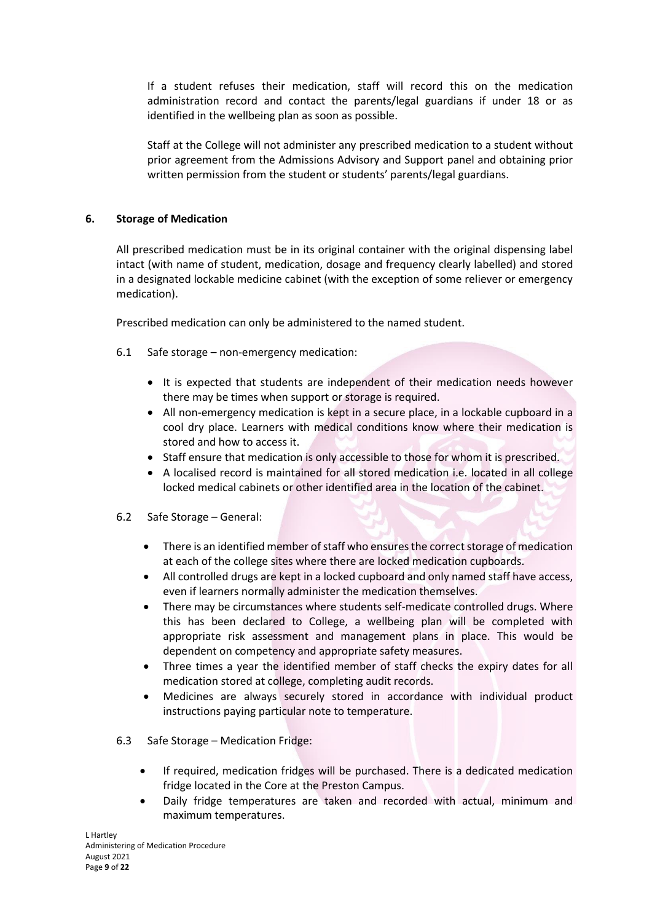If a student refuses their medication, staff will record this on the medication administration record and contact the parents/legal guardians if under 18 or as identified in the wellbeing plan as soon as possible.

Staff at the College will not administer any prescribed medication to a student without prior agreement from the Admissions Advisory and Support panel and obtaining prior written permission from the student or students' parents/legal guardians.

# **6. Storage of Medication**

All prescribed medication must be in its original container with the original dispensing label intact (with name of student, medication, dosage and frequency clearly labelled) and stored in a designated lockable medicine cabinet (with the exception of some reliever or emergency medication).

Prescribed medication can only be administered to the named student.

- 6.1 Safe storage non-emergency medication:
	- It is expected that students are independent of their medication needs however there may be times when support or storage is required.
	- All non-emergency medication is kept in a secure place, in a lockable cupboard in a cool dry place. Learners with medical conditions know where their medication is stored and how to access it.
	- Staff ensure that medication is only accessible to those for whom it is prescribed.
	- A localised record is maintained for all stored medication i.e. located in all college locked medical cabinets or other identified area in the location of the cabinet.
- 6.2 Safe Storage General:
	- There is an identified member of staff who ensures the correct storage of medication at each of the college sites where there are locked medication cupboards.
	- All controlled drugs are kept in a locked cupboard and only named staff have access, even if learners normally administer the medication themselves.
	- There may be circumstances where students self-medicate controlled drugs. Where this has been declared to College, a wellbeing plan will be completed with appropriate risk assessment and management plans in place. This would be dependent on competency and appropriate safety measures.
	- Three times a year the identified member of staff checks the expiry dates for all medication stored at college, completing audit records.
	- Medicines are always securely stored in accordance with individual product instructions paying particular note to temperature.
- 6.3 Safe Storage Medication Fridge:
	- If required, medication fridges will be purchased. There is a dedicated medication fridge located in the Core at the Preston Campus.
	- Daily fridge temperatures are taken and recorded with actual, minimum and maximum temperatures.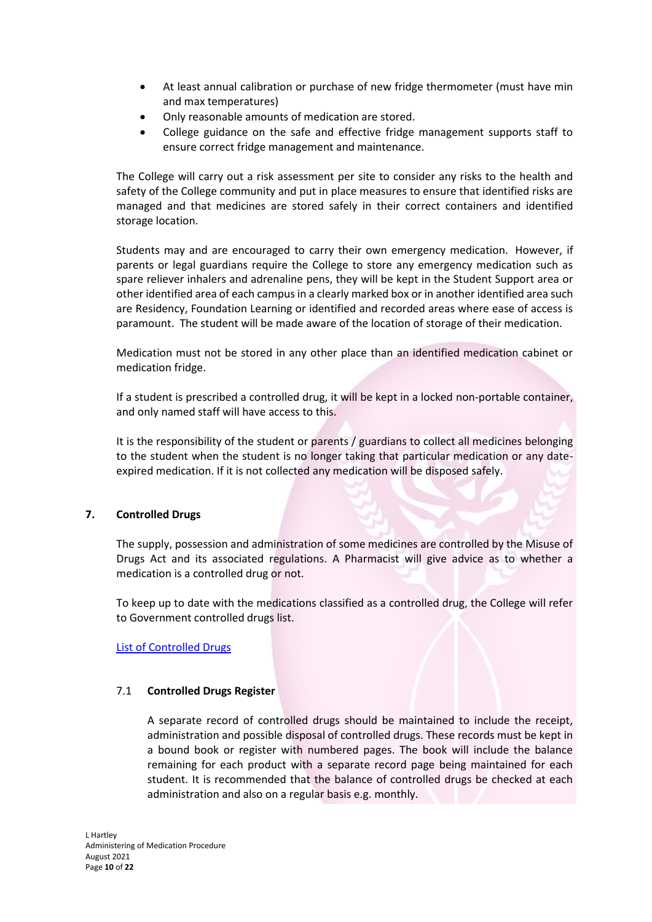- At least annual calibration or purchase of new fridge thermometer (must have min and max temperatures)
- Only reasonable amounts of medication are stored.
- College guidance on the safe and effective fridge management supports staff to ensure correct fridge management and maintenance.

The College will carry out a risk assessment per site to consider any risks to the health and safety of the College community and put in place measures to ensure that identified risks are managed and that medicines are stored safely in their correct containers and identified storage location.

Students may and are encouraged to carry their own emergency medication. However, if parents or legal guardians require the College to store any emergency medication such as spare reliever inhalers and adrenaline pens, they will be kept in the Student Support area or other identified area of each campus in a clearly marked box or in another identified area such are Residency, Foundation Learning or identified and recorded areas where ease of access is paramount. The student will be made aware of the location of storage of their medication.

Medication must not be stored in any other place than an identified medication cabinet or medication fridge.

If a student is prescribed a controlled drug, it will be kept in a locked non-portable container, and only named staff will have access to this.

It is the responsibility of the student or parents / guardians to collect all medicines belonging to the student when the student is no longer taking that particular medication or any dateexpired medication. If it is not collected any medication will be disposed safely.

# **7. Controlled Drugs**

The supply, possession and administration of some medicines are controlled by the Misuse of Drugs Act and its associated regulations. A Pharmacist will give advice as to whether a medication is a controlled drug or not.

To keep up to date with the medications classified as a controlled drug, the College will refer to Government controlled drugs list.

[List of Controlled Drugs](https://www.gov.uk/government/publications/controlled-drugs-list--2)

#### 7.1 **Controlled Drugs Register**

A separate record of controlled drugs should be maintained to include the receipt, administration and possible disposal of controlled drugs. These records must be kept in a bound book or register with numbered pages. The book will include the balance remaining for each product with a separate record page being maintained for each student. It is recommended that the balance of controlled drugs be checked at each administration and also on a regular basis e.g. monthly.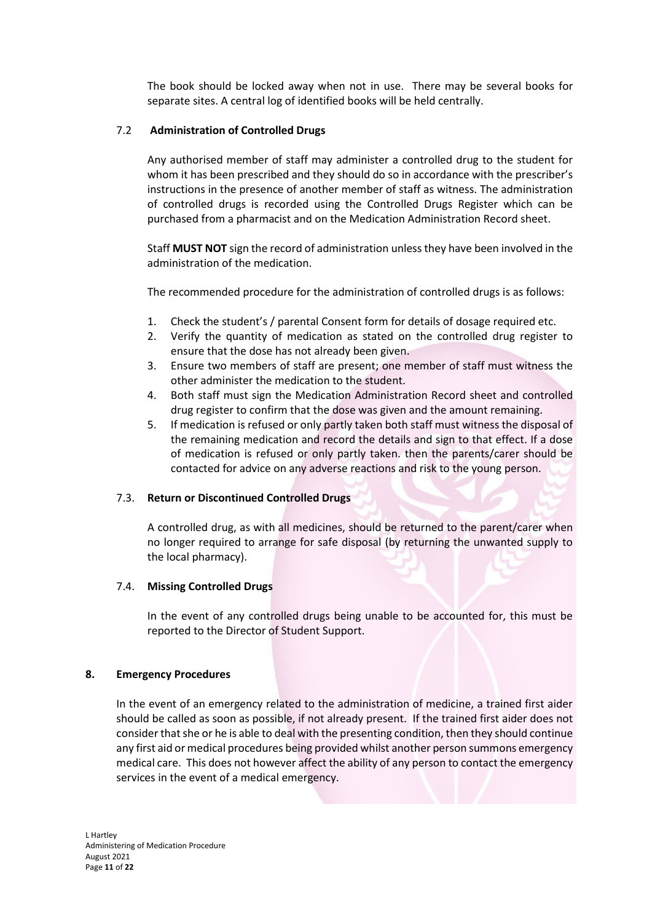The book should be locked away when not in use. There may be several books for separate sites. A central log of identified books will be held centrally.

# 7.2 **Administration of Controlled Drugs**

Any authorised member of staff may administer a controlled drug to the student for whom it has been prescribed and they should do so in accordance with the prescriber's instructions in the presence of another member of staff as witness. The administration of controlled drugs is recorded using the Controlled Drugs Register which can be purchased from a pharmacist and on the Medication Administration Record sheet.

Staff **MUST NOT** sign the record of administration unless they have been involved in the administration of the medication.

The recommended procedure for the administration of controlled drugs is as follows:

- 1. Check the student's / parental Consent form for details of dosage required etc.
- 2. Verify the quantity of medication as stated on the controlled drug register to ensure that the dose has not already been given.
- 3. Ensure two members of staff are present; one member of staff must witness the other administer the medication to the student.
- 4. Both staff must sign the Medication Administration Record sheet and controlled drug register to confirm that the dose was given and the amount remaining.
- 5. If medication is refused or only partly taken both staff must witness the disposal of the remaining medication and record the details and sign to that effect. If a dose of medication is refused or only partly taken. then the parents/carer should be contacted for advice on any adverse reactions and risk to the young person.

#### 7.3. **Return or Discontinued Controlled Drugs**

A controlled drug, as with all medicines, should be returned to the parent/carer when no longer required to arrange for safe disposal (by returning the unwanted supply to the local pharmacy).

#### 7.4. **Missing Controlled Drugs**

In the event of any controlled drugs being unable to be accounted for, this must be reported to the Director of Student Support.

#### **8. Emergency Procedures**

In the event of an emergency related to the administration of medicine, a trained first aider should be called as soon as possible, if not already present. If the trained first aider does not consider that she or he is able to deal with the presenting condition, then they should continue any first aid or medical procedures being provided whilst another person summons emergency medical care. This does not however affect the ability of any person to contact the emergency services in the event of a medical emergency.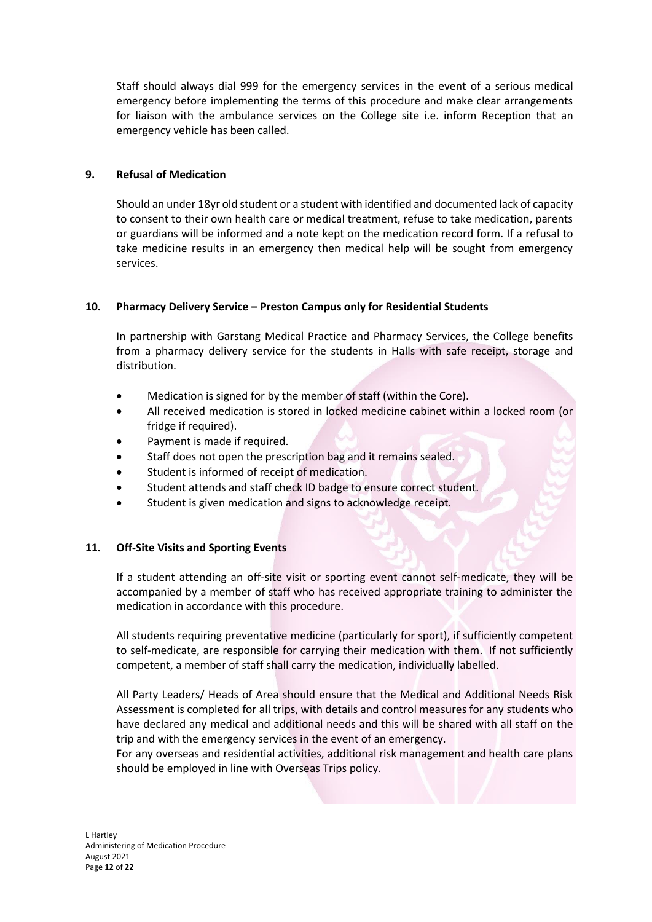Staff should always dial 999 for the emergency services in the event of a serious medical emergency before implementing the terms of this procedure and make clear arrangements for liaison with the ambulance services on the College site i.e. inform Reception that an emergency vehicle has been called.

# **9. Refusal of Medication**

Should an under 18yr old student or a student with identified and documented lack of capacity to consent to their own health care or medical treatment, refuse to take medication, parents or guardians will be informed and a note kept on the medication record form. If a refusal to take medicine results in an emergency then medical help will be sought from emergency services.

# **10. Pharmacy Delivery Service – Preston Campus only for Residential Students**

In partnership with Garstang Medical Practice and Pharmacy Services, the College benefits from a pharmacy delivery service for the students in Halls with safe receipt, storage and distribution.

- Medication is signed for by the member of staff (within the Core).
- All received medication is stored in locked medicine cabinet within a locked room (or fridge if required).
- Payment is made if required.
- Staff does not open the prescription bag and it remains sealed.
- Student is informed of receipt of medication.
- Student attends and staff check ID badge to ensure correct student.
- Student is given medication and signs to acknowledge receipt.

# **11. Off-Site Visits and Sporting Events**

If a student attending an off-site visit or sporting event cannot self-medicate, they will be accompanied by a member of staff who has received appropriate training to administer the medication in accordance with this procedure.

All students requiring preventative medicine (particularly for sport), if sufficiently competent to self-medicate, are responsible for carrying their medication with them. If not sufficiently competent, a member of staff shall carry the medication, individually labelled.

All Party Leaders/ Heads of Area should ensure that the Medical and Additional Needs Risk Assessment is completed for all trips, with details and control measures for any students who have declared any medical and additional needs and this will be shared with all staff on the trip and with the emergency services in the event of an emergency.

For any overseas and residential activities, additional risk management and health care plans should be employed in line with Overseas Trips policy.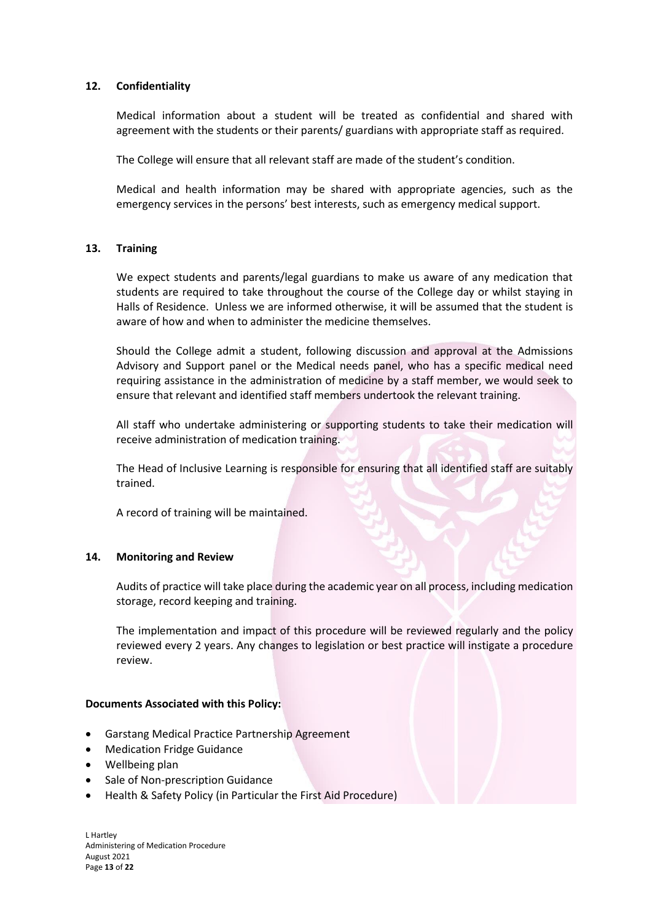#### **12. Confidentiality**

Medical information about a student will be treated as confidential and shared with agreement with the students or their parents/ guardians with appropriate staff as required.

The College will ensure that all relevant staff are made of the student's condition.

Medical and health information may be shared with appropriate agencies, such as the emergency services in the persons' best interests, such as emergency medical support.

#### **13. Training**

We expect students and parents/legal guardians to make us aware of any medication that students are required to take throughout the course of the College day or whilst staying in Halls of Residence. Unless we are informed otherwise, it will be assumed that the student is aware of how and when to administer the medicine themselves.

Should the College admit a student, following discussion and approval at the Admissions Advisory and Support panel or the Medical needs panel, who has a specific medical need requiring assistance in the administration of medicine by a staff member, we would seek to ensure that relevant and identified staff members undertook the relevant training.

All staff who undertake administering or supporting students to take their medication will receive administration of medication training.

The Head of Inclusive Learning is responsible for ensuring that all identified staff are suitably trained.

A record of training will be maintained.

#### **14. Monitoring and Review**

Audits of practice will take place during the academic year on all process, including medication storage, record keeping and training.

The implementation and impact of this procedure will be reviewed regularly and the policy reviewed every 2 years. Any changes to legislation or best practice will instigate a procedure review.

#### **Documents Associated with this Policy:**

- Garstang Medical Practice Partnership Agreement
- Medication Fridge Guidance
- Wellbeing plan
- Sale of Non-prescription Guidance
- Health & Safety Policy (in Particular the First Aid Procedure)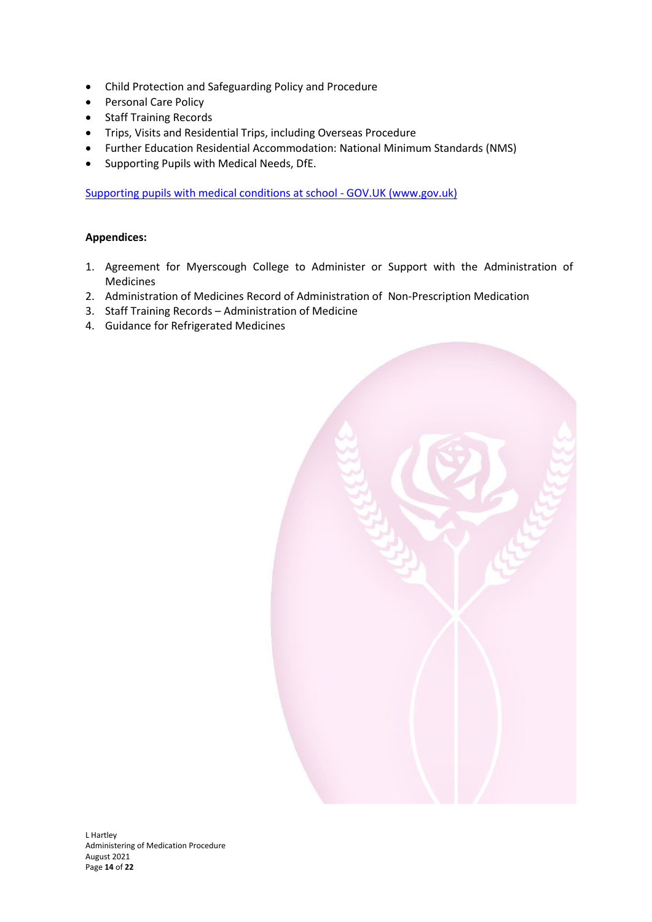- Child Protection and Safeguarding Policy and Procedure
- Personal Care Policy
- Staff Training Records
- Trips, Visits and Residential Trips, including Overseas Procedure
- Further Education Residential Accommodation: National Minimum Standards (NMS)
- Supporting Pupils with Medical Needs, DfE.

Supporting pupils with medical conditions at school - GOV.UK (www.gov.uk)

# **Appendices:**

- 1. Agreement for Myerscough College to Administer or Support with the Administration of Medicines
- 2. Administration of Medicines Record of Administration of Non-Prescription Medication
- 3. Staff Training Records Administration of Medicine
- 4. Guidance for Refrigerated Medicines

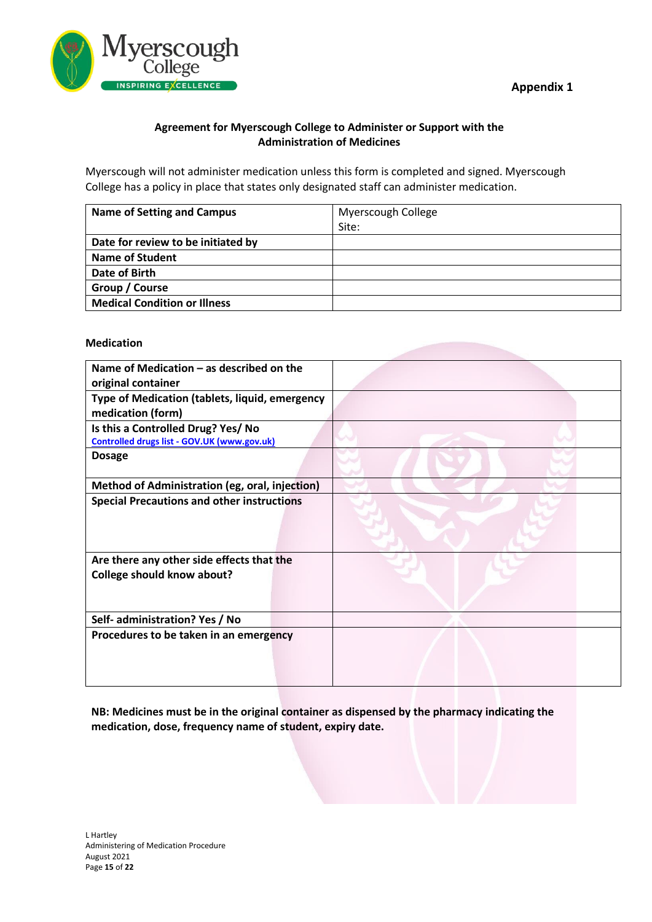

# **Agreement for Myerscough College to Administer or Support with the Administration of Medicines**

Myerscough will not administer medication unless this form is completed and signed. Myerscough College has a policy in place that states only designated staff can administer medication.

| <b>Name of Setting and Campus</b>   | Myerscough College |  |
|-------------------------------------|--------------------|--|
|                                     | Site:              |  |
| Date for review to be initiated by  |                    |  |
| <b>Name of Student</b>              |                    |  |
| Date of Birth                       |                    |  |
| Group / Course                      |                    |  |
| <b>Medical Condition or Illness</b> |                    |  |

# **Medication**

| Name of Medication - as described on the<br>original container      |  |
|---------------------------------------------------------------------|--|
| Type of Medication (tablets, liquid, emergency<br>medication (form) |  |
| Is this a Controlled Drug? Yes/ No                                  |  |
| Controlled drugs list - GOV.UK (www.gov.uk)                         |  |
| <b>Dosage</b>                                                       |  |
| Method of Administration (eg, oral, injection)                      |  |
| <b>Special Precautions and other instructions</b>                   |  |
| Are there any other side effects that the                           |  |
| <b>College should know about?</b>                                   |  |
| Self- administration? Yes / No                                      |  |
| Procedures to be taken in an emergency                              |  |

**NB: Medicines must be in the original container as dispensed by the pharmacy indicating the medication, dose, frequency name of student, expiry date.**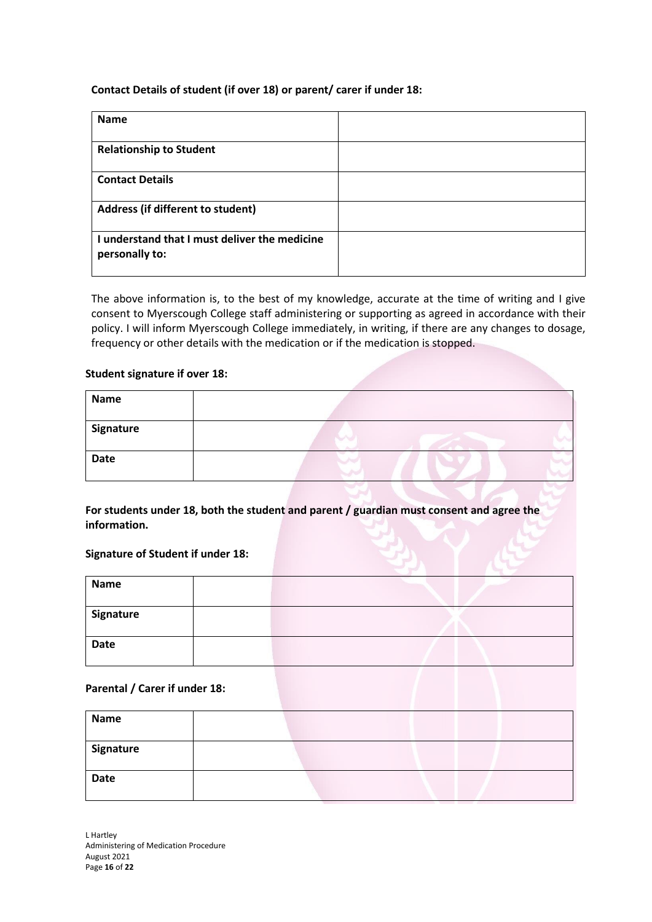# **Contact Details of student (if over 18) or parent/ carer if under 18:**

| Name                                                            |  |
|-----------------------------------------------------------------|--|
| <b>Relationship to Student</b>                                  |  |
| <b>Contact Details</b>                                          |  |
| Address (if different to student)                               |  |
| I understand that I must deliver the medicine<br>personally to: |  |

The above information is, to the best of my knowledge, accurate at the time of writing and I give consent to Myerscough College staff administering or supporting as agreed in accordance with their policy. I will inform Myerscough College immediately, in writing, if there are any changes to dosage, frequency or other details with the medication or if the medication is stopped.

#### **Student signature if over 18:**

| <b>Name</b> |  |
|-------------|--|
| Signature   |  |
| <b>Date</b> |  |

**For students under 18, both the student and parent / guardian must consent and agree the information.**

#### **Signature of Student if under 18:**

| <b>Name</b> |  |  |
|-------------|--|--|
| Signature   |  |  |
| <b>Date</b> |  |  |

# **Parental / Carer if under 18:**

| <b>Name</b> |  |
|-------------|--|
| Signature   |  |
| <b>Date</b> |  |

L Hartley Administering of Medication Procedure August 2021 Page **16** of **22**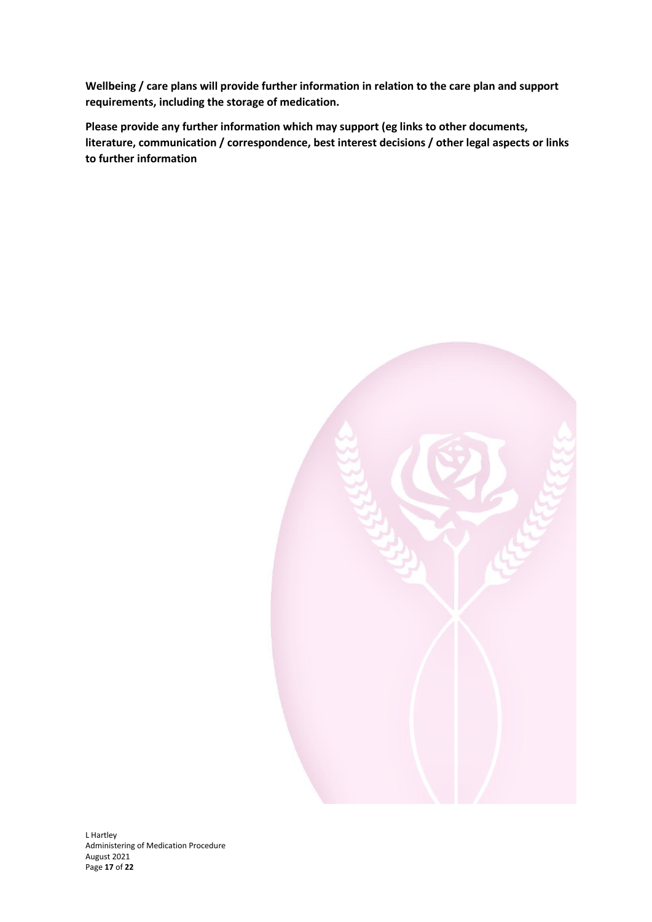**Wellbeing / care plans will provide further information in relation to the care plan and support requirements, including the storage of medication.** 

**Please provide any further information which may support (eg links to other documents, literature, communication / correspondence, best interest decisions / other legal aspects or links to further information**

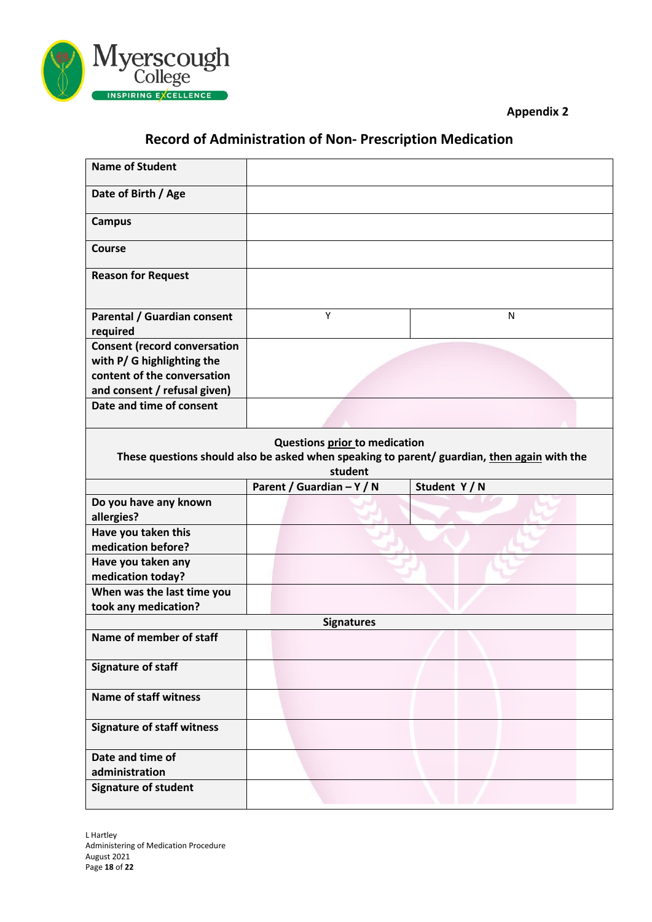



# **Record of Administration of Non- Prescription Medication**

| <b>Name of Student</b>                  |                                          |                                                                                             |
|-----------------------------------------|------------------------------------------|---------------------------------------------------------------------------------------------|
| Date of Birth / Age                     |                                          |                                                                                             |
| <b>Campus</b>                           |                                          |                                                                                             |
| Course                                  |                                          |                                                                                             |
| <b>Reason for Request</b>               |                                          |                                                                                             |
| Parental / Guardian consent<br>required | Y                                        | N                                                                                           |
| <b>Consent (record conversation</b>     |                                          |                                                                                             |
| with P/ G highlighting the              |                                          |                                                                                             |
| content of the conversation             |                                          |                                                                                             |
| and consent / refusal given)            |                                          |                                                                                             |
| Date and time of consent                |                                          |                                                                                             |
|                                         | Questions prior to medication<br>student | These questions should also be asked when speaking to parent/ guardian, then again with the |
|                                         | Parent / Guardian - Y / N                | Student Y/N                                                                                 |
| Do you have any known<br>allergies?     |                                          |                                                                                             |
| Have you taken this                     |                                          |                                                                                             |
| medication before?                      |                                          |                                                                                             |
| Have you taken any                      |                                          |                                                                                             |
| medication today?                       |                                          |                                                                                             |
| When was the last time you              |                                          |                                                                                             |
| took any medication?                    |                                          |                                                                                             |
|                                         | <b>Signatures</b>                        |                                                                                             |
| Name of member of staff                 |                                          |                                                                                             |
| <b>Signature of staff</b>               |                                          |                                                                                             |
| <b>Name of staff witness</b>            |                                          |                                                                                             |
| <b>Signature of staff witness</b>       |                                          |                                                                                             |
| Date and time of                        |                                          |                                                                                             |
| administration                          |                                          |                                                                                             |
| <b>Signature of student</b>             |                                          |                                                                                             |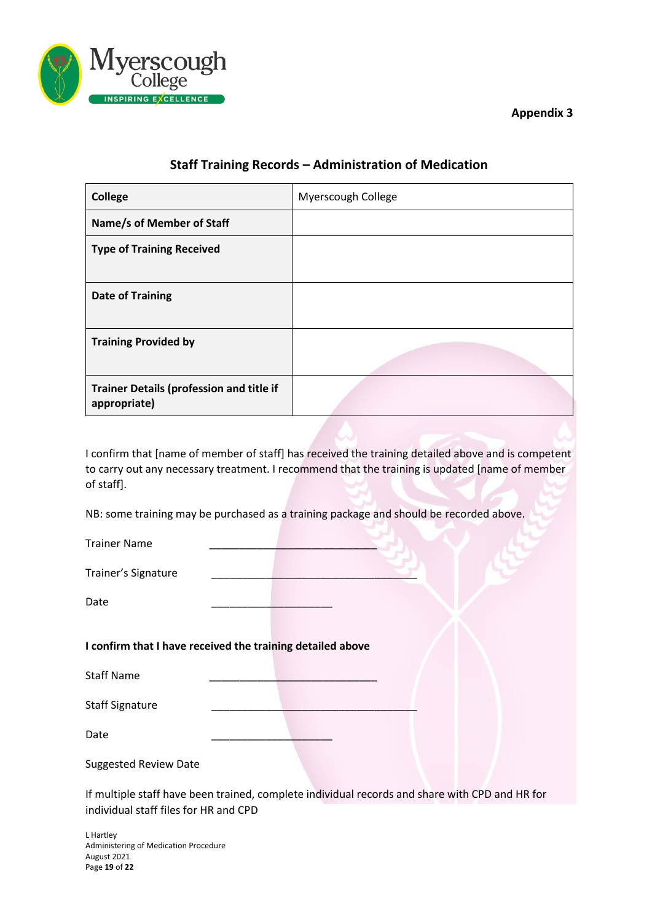

**Appendix 3**

# **Staff Training Records – Administration of Medication**

| <b>College</b>                                           | Myerscough College |
|----------------------------------------------------------|--------------------|
| Name/s of Member of Staff                                |                    |
| <b>Type of Training Received</b>                         |                    |
| <b>Date of Training</b>                                  |                    |
| <b>Training Provided by</b>                              |                    |
| Trainer Details (profession and title if<br>appropriate) |                    |

I confirm that [name of member of staff] has received the training detailed above and is competent to carry out any necessary treatment. I recommend that the training is updated [name of member of staff].

NB: some training may be purchased as a training package and should be recorded above.

| <b>Trainer Name</b>                                        |  |  |
|------------------------------------------------------------|--|--|
| Trainer's Signature                                        |  |  |
| Date                                                       |  |  |
| I confirm that I have received the training detailed above |  |  |
| <b>Staff Name</b>                                          |  |  |
| <b>Staff Signature</b>                                     |  |  |
| Date                                                       |  |  |

Suggested Review Date

If multiple staff have been trained, complete individual records and share with CPD and HR for individual staff files for HR and CPD

L Hartley Administering of Medication Procedure August 2021 Page **19** of **22**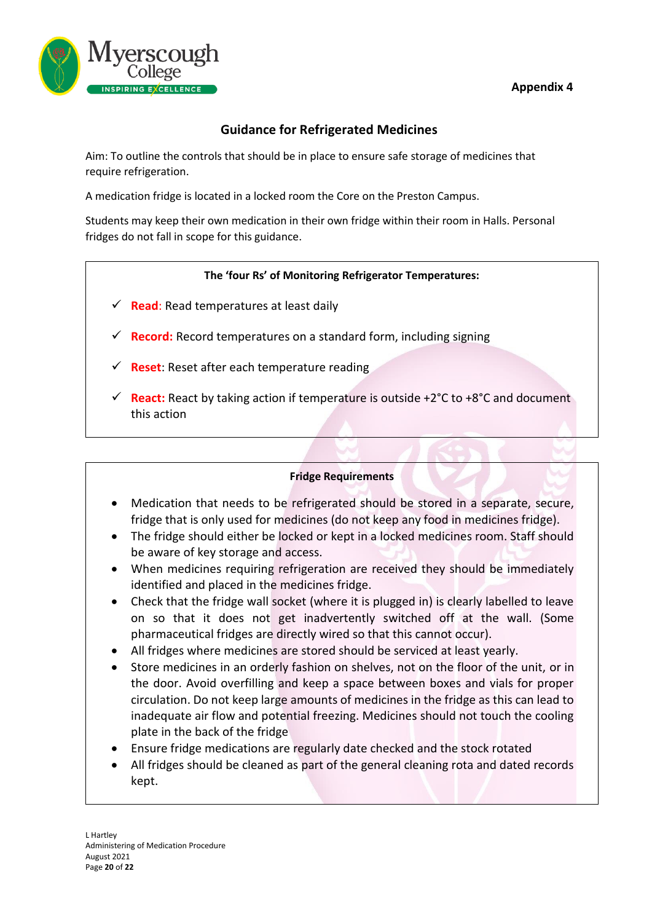# **Appendix 4**



# **Guidance for Refrigerated Medicines**

Aim: To outline the controls that should be in place to ensure safe storage of medicines that require refrigeration.

A medication fridge is located in a locked room the Core on the Preston Campus.

Students may keep their own medication in their own fridge within their room in Halls. Personal fridges do not fall in scope for this guidance.

# **The 'four Rs' of Monitoring Refrigerator Temperatures:**

- $\checkmark$  **Read**: Read temperatures at least daily
- ✓ **Record:** Record temperatures on a standard form, including signing
- $\checkmark$  **Reset**: Reset after each temperature reading
- $\checkmark$  **React:** React by taking action if temperature is outside +2 $\degree$ C to +8 $\degree$ C and document this action

#### **Fridge Requirements**

- Medication that needs to be refrigerated should be stored in a separate, secure, fridge that is only used for medicines (do not keep any food in medicines fridge).
- The fridge should either be locked or kept in a locked medicines room. Staff should be aware of key storage and access.
- When medicines requiring refrigeration are received they should be immediately identified and placed in the medicines fridge.
- Check that the fridge wall socket (where it is plugged in) is clearly labelled to leave on so that it does not get inadvertently switched off at the wall. (Some pharmaceutical fridges are directly wired so that this cannot occur).
- All fridges where medicines are stored should be serviced at least yearly.
- Store medicines in an orderly fashion on shelves, not on the floor of the unit, or in the door. Avoid overfilling and keep a space between boxes and vials for proper circulation. Do not keep large amounts of medicines in the fridge as this can lead to inadequate air flow and potential freezing. Medicines should not touch the cooling plate in the back of the fridge
- Ensure fridge medications are regularly date checked and the stock rotated
- All fridges should be cleaned as part of the general cleaning rota and dated records kept.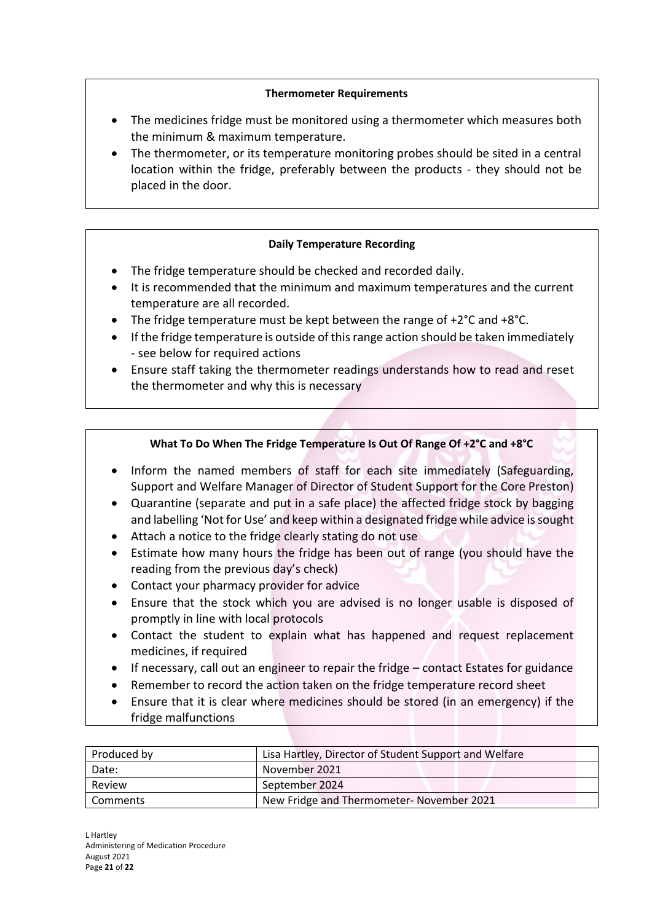# **Thermometer Requirements**

- The medicines fridge must be monitored using a thermometer which measures both the minimum & maximum temperature.
- The thermometer, or its temperature monitoring probes should be sited in a central location within the fridge, preferably between the products - they should not be placed in the door.

# **Daily Temperature Recording**

- The fridge temperature should be checked and recorded daily.
- It is recommended that the minimum and maximum temperatures and the current temperature are all recorded.
- The fridge temperature must be kept between the range of +2°C and +8°C.
- If the fridge temperature is outside of this range action should be taken immediately - see below for required actions
- Ensure staff taking the thermometer readings understands how to read and reset the thermometer and why this is necessary

# **What To Do When The Fridge Temperature Is Out Of Range Of +2°C and +8°C**

- Inform the named members of staff for each site immediately (Safeguarding, Support and Welfare Manager of Director of Student Support for the Core Preston)
- Quarantine (separate and put in a safe place) the affected fridge stock by bagging and labelling 'Not for Use' and keep within a designated fridge while advice is sought
- Attach a notice to the fridge clearly stating do not use
- Estimate how many hours the fridge has been out of range (you should have the reading from the previous day's check)
- Contact your pharmacy provider for advice
- Ensure that the stock which you are advised is no longer usable is disposed of promptly in line with local protocols
- Contact the student to explain what has happened and request replacement medicines, if required
- If necessary, call out an engineer to repair the fridge contact Estates for guidance
- Remember to record the action taken on the fridge temperature record sheet
- Ensure that it is clear where medicines should be stored (in an emergency) if the fridge malfunctions

| Produced by | Lisa Hartley, Director of Student Support and Welfare |  |  |
|-------------|-------------------------------------------------------|--|--|
| Date:       | November 2021                                         |  |  |
| Review      | September 2024                                        |  |  |
| l Comments  | New Fridge and Thermometer- November 2021             |  |  |